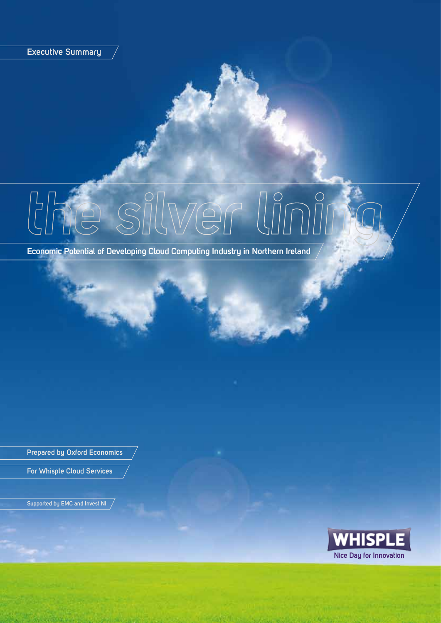**Executive Summary**

**Economic Potential of Developing Cloud Computing Industry in Northern Ireland**

**Prepared by Oxford Economics**

**For Whisple Cloud Services**

**Supported by EMC and Invest NI**

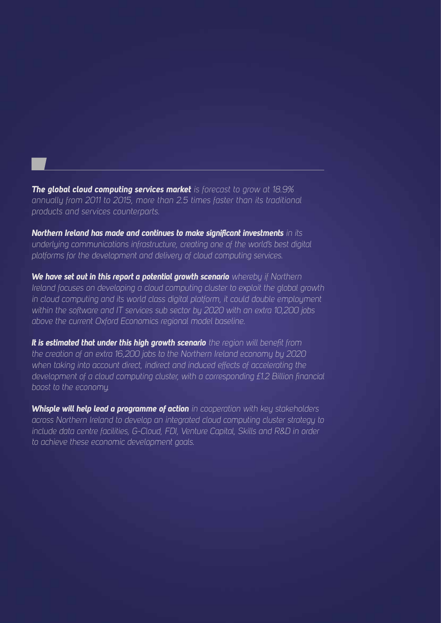*The global cloud computing services market is forecast to grow at 18.9% annually from 2011 to 2015, more than 2.5 times faster than its traditional products and services counterparts.*

*Northern Ireland has made and continues to make significant investments in its underlying communications infrastructure, creating one of the world's best digital platforms for the development and delivery of cloud computing services.*

*We have set out in this report a potential growth scenario whereby if Northern Ireland focuses on developing a cloud computing cluster to exploit the global growth in cloud computing and its world class digital platform, it could double employment within the software and IT services sub sector by 2020 with an extra 10,200 jobs above the current Oxford Economics regional model baseline.*

*It is estimated that under this high growth scenario the region will benefit from the creation of an extra 16,200 jobs to the Northern Ireland economy by 2020 when taking into account direct, indirect and induced effects of accelerating the development of a cloud computing cluster, with a corresponding £1.2 Billion financial boost to the economy.*

*Whisple will help lead a programme of action in cooperation with key stakeholders across Northern Ireland to develop an integrated cloud computing cluster strategy to include data centre facilities, G-Cloud, FDI, Venture Capital, Skills and R&D in order to achieve these economic development goals.*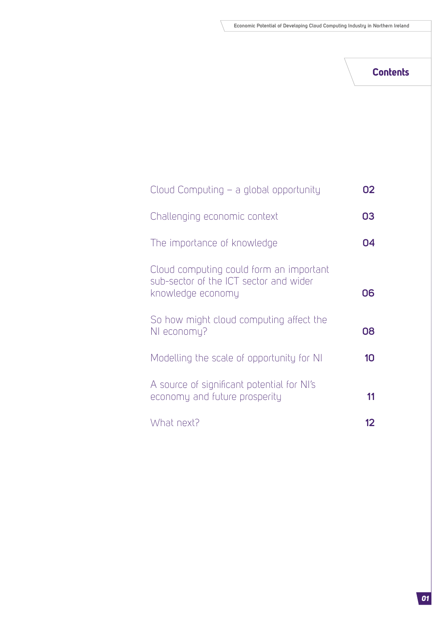### **Contents**

| Cloud Computing – a global opportunity                                                                 | 02 |
|--------------------------------------------------------------------------------------------------------|----|
| Challenging economic context                                                                           | 03 |
| The importance of knowledge                                                                            | Ω4 |
| Cloud computing could form an important<br>sub-sector of the ICT sector and wider<br>knowledge economy | 06 |
| So how might cloud computing affect the<br>NI economy?                                                 | 08 |
| Modelling the scale of opportunity for NI                                                              | 10 |
| A source of significant potential for NI's<br>economy and future prosperity                            | 11 |
| What next?                                                                                             |    |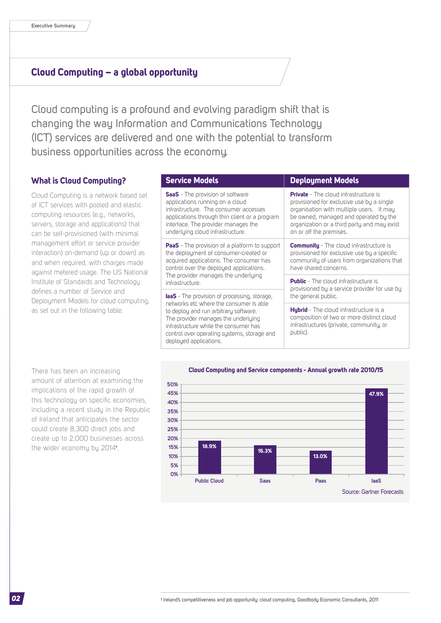### **Cloud Computing – a global opportunity**

Cloud computing is a profound and evolving paradigm shift that is changing the way Information and Communications Technology (ICT) services are delivered and one with the potential to transform business opportunities across the economy.

### **What is Cloud Computing?**

Cloud Computing is a network based set of ICT services with pooled and elastic computing resources (e.g., networks, servers, storage and applications) that can be self-provisioned (with minimal management effort or service provider interaction) on-demand (up or down) as and when required, with charges made against metered usage. The US National Institute of Standards and Technology defines a number of Service and Deployment Models for cloud computing, as set out in the following table.

| <b>Service Models</b>                                                                                                                                                                                                                                                                                                                                                                                                                                                                                                                                                                                                                                                                                                                                                                                | <b>Deployment Models</b>                                                                                                                                                                                                                                 |  |
|------------------------------------------------------------------------------------------------------------------------------------------------------------------------------------------------------------------------------------------------------------------------------------------------------------------------------------------------------------------------------------------------------------------------------------------------------------------------------------------------------------------------------------------------------------------------------------------------------------------------------------------------------------------------------------------------------------------------------------------------------------------------------------------------------|----------------------------------------------------------------------------------------------------------------------------------------------------------------------------------------------------------------------------------------------------------|--|
| <b>SaaS</b> - The provision of software<br>applications running on a cloud<br>infrastructure. The consumer accesses<br>applications through thin client or a program<br>interface. The provider manages the<br>underlying cloud infrastructure.<br><b>PaaS</b> - The provision of a platform to support<br>the deployment of consumer-created or<br>acquired applications. The consumer has<br>control over the deployed applications.<br>The provider manages the underlying<br>infrastructure.<br><b>laaS</b> - The provision of processing, storage,<br>networks etc where the consumer is able<br>to deploy and run arbitrary software.<br>The provider manages the underlying<br>infrastructure while the consumer has<br>control over operating systems, storage and<br>deployed applications. | <b>Private</b> - The cloud infrastructure is<br>provisioned for exclusive use by a single<br>organisation with multiple users. It may<br>be owned, managed and operated by the<br>organization or a third party and may exist<br>on or off the premises. |  |
|                                                                                                                                                                                                                                                                                                                                                                                                                                                                                                                                                                                                                                                                                                                                                                                                      | <b>Community</b> - The cloud infrastructure is<br>provisioned for exclusive use by a specific<br>community of users from organizations that<br>have shared concerns.                                                                                     |  |
|                                                                                                                                                                                                                                                                                                                                                                                                                                                                                                                                                                                                                                                                                                                                                                                                      | <b>Public</b> - The cloud infrastructure is<br>provisioned by a service provider for use by<br>the general public.                                                                                                                                       |  |
|                                                                                                                                                                                                                                                                                                                                                                                                                                                                                                                                                                                                                                                                                                                                                                                                      | <b>Hybrid</b> - The cloud infrastructure is a<br>composition of two or more distinct cloud<br>infrastructures (private, community, or<br>public).                                                                                                        |  |

There has been an increasing amount of attention at examining the implications of the rapid growth of this technology on specific economies, including a recent study in the Republic of Ireland that anticipates the sector could create 8,300 direct jobs and create up to 2,000 businesses across the wider economy by 2014**<sup>1</sup>** .

#### **Cloud Computing and Service components - Annual growth rate 2010/15**

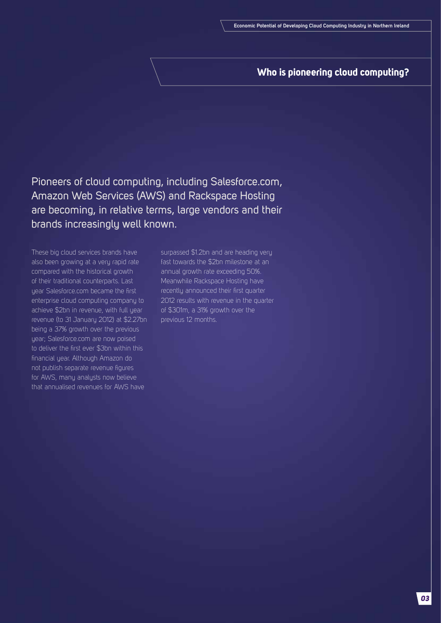### **Who is pioneering cloud computing?**

Pioneers of cloud computing, including Salesforce.com, Amazon Web Services (AWS) and Rackspace Hosting are becoming, in relative terms, large vendors and their brands increasingly well known.

These big cloud services brands have also been growing at a very rapid rate compared with the historical growth of their traditional counterparts. Last year Salesforce.com became the first enterprise cloud computing company to achieve \$2bn in revenue, with full year revenue (to 31 January 2012) at \$2.27bn being a 37% growth over the previous year; Salesforce.com are now poised to deliver the first ever \$3bn within this financial year. Although Amazon do not publish separate revenue figures for AWS, many analysts now believe that annualised revenues for AWS have

surpassed \$1.2bn and are heading very fast towards the \$2bn milestone at an annual growth rate exceeding 50%. Meanwhile Rackspace Hosting have recently announced their first quarter 2012 results with revenue in the quarter of \$301m, a 31% growth over the previous 12 months.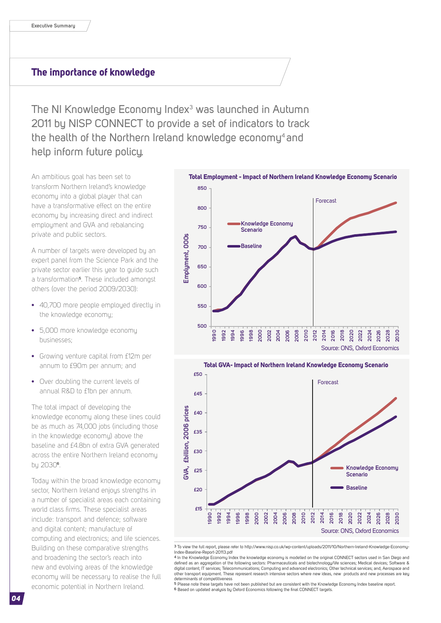### **The importance of knowledge**

The NI Knowledge Economy Index<sup>3</sup> was launched in Autumn 2011 by NISP CONNECT to provide a set of indicators to track the health of the Northern Ireland knowledge economy<sup>4</sup> and help inform future policy.

An ambitious goal has been set to transform Northern Ireland's knowledge economy into a global player that can have a transformative effect on the entire economy by increasing direct and indirect employment and GVA and rebalancing private and public sectors.

A number of targets were developed by an expert panel from the Science Park and the private sector earlier this year to guide such a transformation**5**. These included amongst others (over the period 2009/2030):

- **•** 40,700 more people employed directly in the knowledge economy;
- **•** 5,000 more knowledge economy businesses;
- **•** Growing venture capital from £12m per annum to £90m per annum; and
- **•** Over doubling the current levels of annual R&D to £1bn per annum.

The total impact of developing the knowledge economy along these lines could be as much as 74,000 jobs (including those in the knowledge economy) above the baseline and £4.8bn of extra GVA generated across the entire Northern Ireland economy by 2030**6**.

Today within the broad knowledge economy sector, Northern Ireland enjous strengths in a number of specialist areas each containing world class firms. These specialist areas include: transport and defence; software and digital content; manufacture of computing and electronics; and life sciences. Building on these comparative strengths and broadening the sector's reach into new and evolving areas of the knowledge economy will be necessary to realise the full economic potential in Northern Ireland.





**3** To view the full report, please refer to http://www.nisp.co.uk/wp-content/uploads/2011/10/Northern-Ireland-Knowledge-Economy-Index-Baseline-Report-20113.pdf

**4** In the Knowledge Economy Index the knowledge economy is modelled on the original CONNECT sectors used in San Diego and defined as an aggregation of the following sectors: Pharmaceuticals and biotechnology/life sciences; Medical devices; Software & digital content; IT services; Telecommunications; Computing and advanced electronics; Other technical services; and, Aerospace and other transport equipment. These represent research intensive sectors where new ideas, new products and new processes are key

determinants of competitiveness<br><sup>5</sup> Please note these targets have not been published but are consistent with the Knowledge Economy Index baseline report. **6** Based on updated analysis by Oxford Economics following the final CONNECT targets.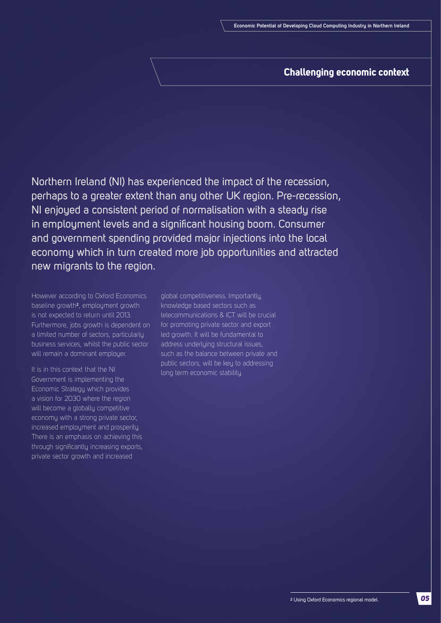### **Challenging economic context**

Northern Ireland (NI) has experienced the impact of the recession, perhaps to a greater extent than any other UK region. Pre-recession, NI enjoyed a consistent period of normalisation with a steady rise in employment levels and a significant housing boom. Consumer and government spending provided major injections into the local economy which in turn created more job opportunities and attracted new migrants to the region.

However according to Oxford Economics baseline growth<sup>2</sup>, employment growth is not expected to return until 2013. Furthermore, jobs growth is dependent on a limited number of sectors, particularly business services, whilst the public sector will remain a dominant employer.

It is in this context that the NI Government is implementing the Economic Strategy which provides a vision for 2030 where the region will become a globally competitive economy with a strong private sector, increased employment and prosperity. There is an emphasis on achieving this through significantly increasing exports, private sector growth and increased

global competitiveness. Importantly, knowledge based sectors such as telecommunications & ICT will be crucial for promoting private sector and export led growth. It will be fundamental to address underlying structural issues, such as the balance between private and public sectors, will be key to addressing long term economic stability.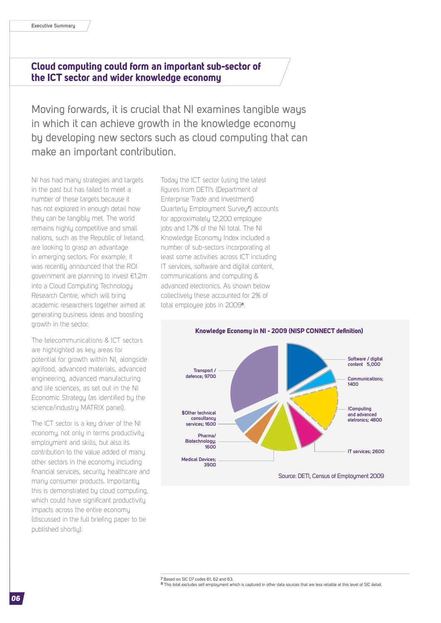### **Cloud computing could form an important sub-sector of the ICT sector and wider knowledge economy**

Moving forwards, it is crucial that NI examines tangible ways in which it can achieve growth in the knowledge economy by developing new sectors such as cloud computing that can make an important contribution.

NI has had many strategies and targets in the past but has failed to meet a number of these targets because it has not explored in enough detail how they can be tangibly met. The world remains highly competitive and small nations, such as the Republic of Ireland, are looking to grasp an advantage in emerging sectors. For example, it was recently announced that the ROI government are planning to invest €1.2m into a Cloud Computing Technology Research Centre, which will bring academic researchers together aimed at generating business ideas and boosting growth in the sector.

The telecommunications & ICT sectors are highlighted as key areas for potential for growth within NI, alongside agrifood, advanced materials, advanced engineering, advanced manufacturing and life sciences, as set out in the NI Economic Strategy (as identified by the science/industry MATRIX panel).

The ICT sector is a key driver of the NI economy, not only in terms productivity, employment and skills, but also its contribution to the value added of many other sectors in the economy including financial services, security, healthcare and many consumer products. Importantly, this is demonstrated by cloud computing, which could have significant productivity impacts across the entire economy (discussed in the full briefing paper to be published shortly).

Today the ICT sector (using the latest figures from DETI's (Department of Enterprise Trade and Investment) Quarterly Employment Survey**<sup>7</sup>** ) accounts for approximately 12,200 employee jobs and 1.7% of the NI total. The NI Knowledge Economy Index included a number of sub-sectors incorporating at least some activities across ICT including IT services, software and digital content, communications and computing & advanced electronics. As shown below collectively these accounted for 2% of total employee jobs in 2009**<sup>8</sup>** .



**7** Based on SIC 07 codes 61, 62 and 63.

**8** This total excludes self employment which is captured in other data sources that are less reliable at this level of SIC detail.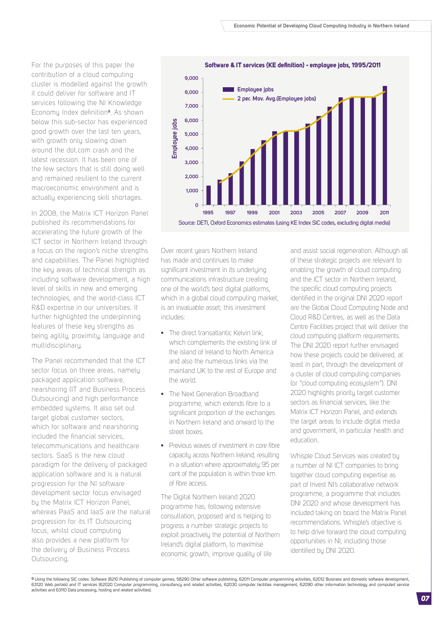For the purposes of this paper the contribution of a cloud computing cluster is modelled against the growth it could deliver for software and IT services following the NI Knowledge Economy Index definition**9**. As shown below this sub-sector has experienced good growth over the last ten years, with growth only slowing down around the dot.com crash and the latest recession. It has been one of the few sectors that is still doing well and remained resilient to the current macroeconomic environment and is actually experiencing skill shortages.

In 2008, the Matrix ICT Horizon Panel published its recommendations for accelerating the future growth of the ICT sector in Northern Ireland through a focus on the region's niche strengths and capabilities. The Panel highlighted the key areas of technical strength as including software development, a high level of skills in new and emerging technologies, and the world-class ICT R&D expertise in our universities. It further highlighted the underpinning features of these key strengths as being agility, proximity, language and multidisciplinary.

The Panel recommended that the ICT sector focus on three areas, namely packaged application software, nearshoring (IT and Business Process Outsourcing) and high performance embedded systems. It also set out target global customer sectors, which for software and nearshoring included the financial services, telecommunications and healthcare sectors. SaaS is the new cloud paradigm for the delivery of packaged application software and is a natural progression for the NI software development sector focus envisaged by the Matrix ICT Horizon Panel; whereas PaaS and IaaS are the natural progression for its IT Outsourcing focus, whilst cloud computing also provides a new platform for the delivery of Business Process Outsourcing.



Over recent years Northern Ireland has made and continues to make significant investment in its underlying communications infrastructure creating one of the world's best digital platforms, which in a global cloud computing market, is an invaluable asset; this investment includes:

- **•** The direct transatlantic Kelvin link, which complements the existing link of the island of Ireland to North America and also the numerous links via the mainland UK to the rest of Europe and the world.
- **•** The Next Generation Broadband programme, which extends fibre to a significant proportion of the exchanges in Northern Ireland and onward to the street boxes.
- **•** Previous waves of investment in core fibre capacity across Northern Ireland, resulting in a situation where approximately 95 per cent of the population is within three km of fibre access.

The Digital Northern Ireland 2020 programme has, following extensive consultation, proposed and is helping to progress a number strategic projects to exploit proactively the potential of Northern Ireland's digital platform, to maximise economic growth, improve quality of life

and assist social regeneration. Although all of these strategic projects are relevant to enabling the growth of cloud computing and the ICT sector in Northern Ireland, the specific cloud computing projects identified in the original DNI 2020 report are the Global Cloud Computing Node and Cloud R&D Centres, as well as the Data Centre Facilities project that will deliver the cloud computing platform requirements. The DNI 2020 report further envisaged how these projects could be delivered, at least in part, through the development of a cluster of cloud computing companies (or "cloud computing ecosystem"). DNI 2020 highlights priority target customer sectors as financial services, like the Matrix ICT Horizon Panel, and extends the target areas to include digital media and government, in particular health and education.

Whisple Cloud Services was created by a number of NI ICT companies to bring together cloud computing expertise as part of Invest NI's collaborative network programme, a programme that includes DNI 2020 and whose development has included taking on board the Matrix Panel recommendations. Whisple's objective is to help drive forward the cloud computing opportunities in NI, including those identified by DNI 2020.

**9** Using the following SIC codes: Software (8210 Publishing of computer games, 58290 Other software publishing, 62011 Computer programming activities, 62012 Business and domestic software development, 63120 Web portals) and IT services (62020 Computer programming, consultancy and related activities, 62030 computer facilities management, 62090 other information technology and computed service<br>activities and 63110 Data pr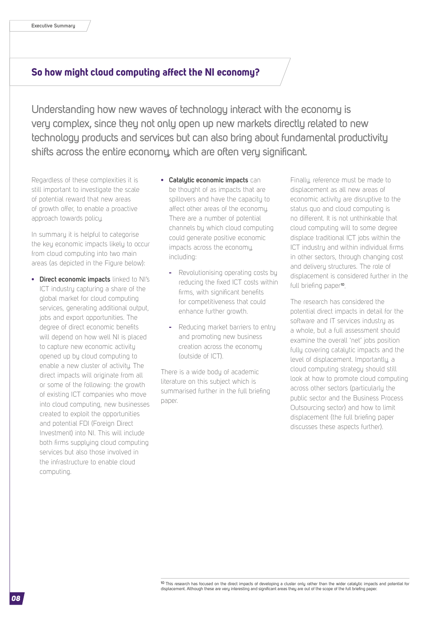### **So how might cloud computing affect the NI economy?**

Understanding how new waves of technology interact with the economy is very complex, since they not only open up new markets directly related to new technology products and services but can also bring about fundamental productivity shifts across the entire economy, which are often very significant.

Regardless of these complexities it is still important to investigate the scale of potential reward that new areas of growth offer, to enable a proactive approach towards policy.

In summary it is helpful to categorise the key economic impacts likely to occur from cloud computing into two main areas (as depicted in the Figure below):

- **• Direct economic impacts** linked to NI's ICT industry capturing a share of the global market for cloud computing services, generating additional output, jobs and export opportunities. The degree of direct economic benefits will depend on how well NI is placed to capture new economic activity opened up by cloud computing to enable a new cluster of activity. The direct impacts will originate from all or some of the following: the growth of existing ICT companies who move into cloud computing, new businesses created to exploit the opportunities and potential FDI (Foreign Direct Investment) into NI. This will include both firms supplying cloud computing services but also those involved in the infrastructure to enable cloud computing.
- **• Catalytic economic impacts** can be thought of as impacts that are spillovers and have the capacity to affect other areas of the economy. There are a number of potential channels by which cloud computing could generate positive economic impacts across the economy, including:
	- **-** Revolutionising operating costs by reducing the fixed ICT costs within firms, with significant benefits for competitiveness that could enhance further growth.
	- **-** Reducing market barriers to entry and promoting new business creation across the economy (outside of ICT).

There is a wide body of academic literature on this subject which is summarised further in the full briefing paper.

Finally, reference must be made to displacement as all new areas of economic activity are disruptive to the status quo and cloud computing is no different. It is not unthinkable that cloud computing will to some degree displace traditional ICT jobs within the ICT industry and within individual firms in other sectors, through changing cost and delivery structures. The role of displacement is considered further in the full briefing paper**10**.

The research has considered the potential direct impacts in detail for the software and IT services industry as a whole, but a full assessment should examine the overall 'net' jobs position fully covering catalytic impacts and the level of displacement. Importantly, a cloud computing strategy should still look at how to promote cloud computing across other sectors (particularly the public sector and the Business Process Outsourcing sector) and how to limit displacement (the full briefing paper discusses these aspects further).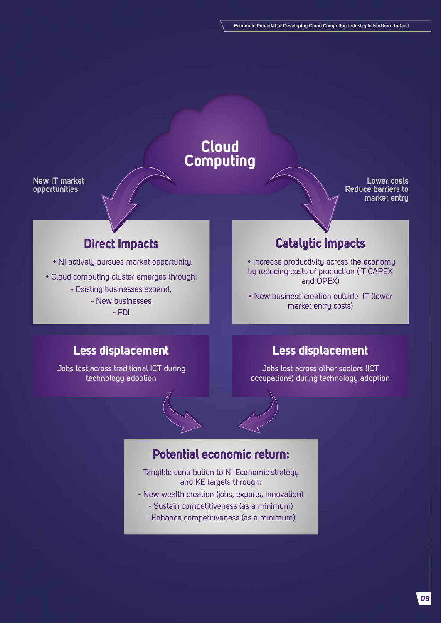# **Cloud Computing**

**New IT market opportunities** 

**Lower costs Reduce barriers to market entry**

# **Direct Impacts**

- NI actively pursues market opportunity.
- Cloud computing cluster emerges through:
	- Existing businesses expand,
		- New businesses
			- FDI

# **Catalytic Impacts**

 • Increase productivity across the economy by reducing costs of production (IT CAPEX and OPEX)

• New business creation outside IT (lower market entry costs)

### **Less displacement**

Jobs lost across traditional ICT during technology adoption

### **Less displacement**

Jobs lost across other sectors (ICT occupations) during technology adoption

## **Potential economic return:**

Tangible contribution to NI Economic strategy and KE targets through:

- New wealth creation (jobs, exports, innovation)
	- Sustain competitiveness (as a minimum)
	- Enhance competitiveness (as a minimum)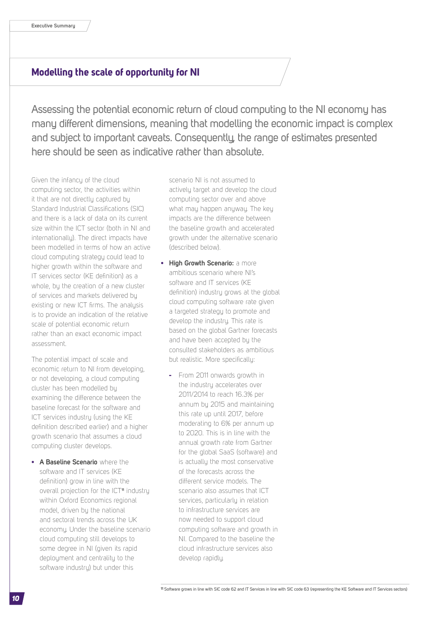### **Modelling the scale of opportunity for NI**

Assessing the potential economic return of cloud computing to the NI economy has many different dimensions, meaning that modelling the economic impact is complex and subject to important caveats. Consequently, the range of estimates presented here should be seen as indicative rather than absolute.

Given the infancy of the cloud computing sector, the activities within it that are not directly captured by Standard Industrial Classifications (SIC) and there is a lack of data on its current size within the ICT sector (both in NI and internationally). The direct impacts have been modelled in terms of how an active cloud computing strategy could lead to higher growth within the software and IT services sector (KE definition) as a whole, by the creation of a new cluster of services and markets delivered by existing or new ICT firms. The analysis is to provide an indication of the relative scale of potential economic return rather than an exact economic impact assessment.

The potential impact of scale and economic return to NI from developing, or not developing, a cloud computing cluster has been modelled by examining the difference between the baseline forecast for the software and ICT services industry (using the KE definition described earlier) and a higher growth scenario that assumes a cloud computing cluster develops.

**• A Baseline Scenario** where the software and IT services (KE definition) grow in line with the overall projection for the ICT**11** industry within Oxford Economics regional model, driven by the national and sectoral trends across the UK economy. Under the baseline scenario cloud computing still develops to some degree in NI (given its rapid deployment and centrality to the software industry) but under this

scenario NI is not assumed to actively target and develop the cloud computing sector over and above what may happen anyway. The key impacts are the difference between the baseline growth and accelerated growth under the alternative scenario (described below).

- **• High Growth Scenario:** a more ambitious scenario where NI's software and IT services (KE definition) industry grows at the global cloud computing software rate given a targeted strategy to promote and develop the industry. This rate is based on the global Gartner forecasts and have been accepted by the consulted stakeholders as ambitious but realistic. More specifically:
	- **-** From 2011 onwards growth in the industry accelerates over 2011/2014 to reach 16.3% per annum by 2015 and maintaining this rate up until 2017, before moderating to 6% per annum up to 2020. This is in line with the annual growth rate from Gartner for the global SaaS (software) and is actually the most conservative of the forecasts across the different service models. The scenario also assumes that ICT services, particularly in relation to infrastructure services are now needed to support cloud computing software and growth in NI. Compared to the baseline the cloud infrastructure services also develop rapidly.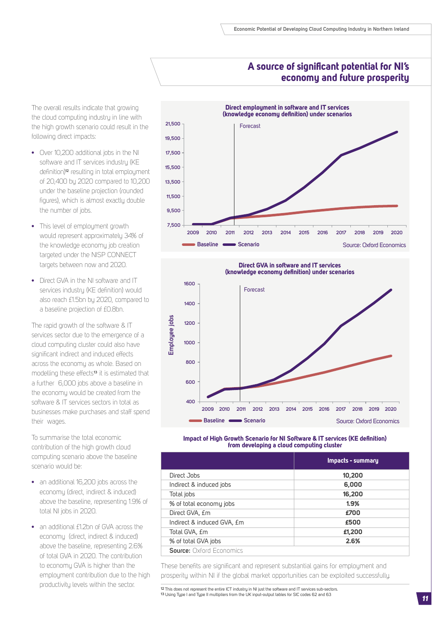### **A source of significant potential for NI's economy and future prosperity**

The overall results indicate that growing the cloud computing industry in line with the high growth scenario could result in the following direct impacts:

- **•** Over 10,200 additional jobs in the NI software and IT services industru (KE definition)**12** resulting in total employment of 20,400 by 2020 compared to 10,200 under the baseline projection (rounded figures), which is almost exactly double the number of jobs.
- **•** This level of employment growth would represent approximately 34% of the knowledge economy job creation targeted under the NISP CONNECT targets between now and 2020.
- **•** Direct GVA in the NI software and IT services industry (KE definition) would also reach £1.5bn by 2020, compared to a baseline projection of £0.8bn.

The rapid growth of the software & IT services sector due to the emergence of a cloud computing cluster could also have significant indirect and induced effects across the economy as whole. Based on modelling these effects**13** it is estimated that a further 6,000 jobs above a baseline in the economy would be created from the software & IT services sectors in total as businesses make purchases and staff spend their wages.

To summarise the total economic contribution of the high growth cloud computing scenario above the baseline scenario would be:

- **•** an additional 16,200 jobs across the economy (direct, indirect & induced) above the baseline, representing 1.9% of total NI jobs in 2020.
- **•** an additional £1.2bn of GVA across the economy (direct, indirect & induced) above the baseline, representing 2.6% of total GVA in 2020. The contribution to economy GVA is higher than the employment contribution due to the high productivity levels within the sector.







|                                 | Impacts - summary |
|---------------------------------|-------------------|
| Direct Jobs                     | 10,200            |
| Indirect & induced jobs         | 6,000             |
| Total jobs                      | 16,200            |
| % of total economy jobs         | 1.9%              |
| Direct GVA, £m                  | £700              |
| Indirect & induced GVA, £m      | £500              |
| Total GVA, £m                   | £1,200            |
| % of total GVA jobs             | 2.6%              |
| <b>Source: Oxford Economics</b> |                   |

These benefits are significant and represent substantial gains for employment and prosperity within NI if the global market opportunities can be exploited successfully.

**12** This does not represent the entire ICT industry in NI just the software and IT services sub-sectors. **13** Using Type I and Type II multipliers from the UK input-output tables for SIC codes 62 and 63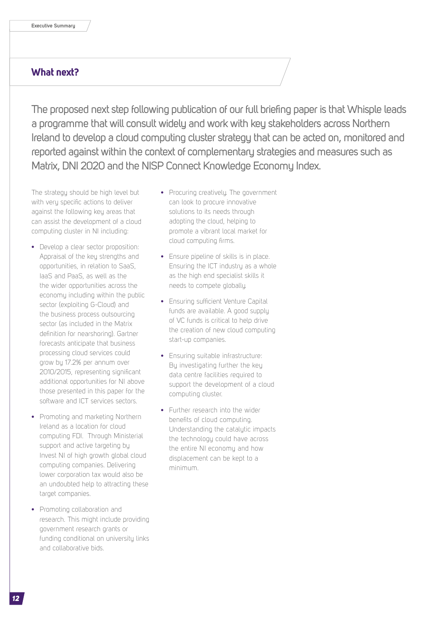### **What next?**

The proposed next step following publication of our full briefing paper is that Whisple leads a programme that will consult widely and work with key stakeholders across Northern Ireland to develop a cloud computing cluster strategy that can be acted on, monitored and reported against within the context of complementary strategies and measures such as Matrix, DNI 2020 and the NISP Connect Knowledge Economy Index.

The strategy should be high level but with very specific actions to deliver against the following key areas that can assist the development of a cloud computing cluster in NI including:

- **•** Develop a clear sector proposition: Appraisal of the key strengths and opportunities, in relation to SaaS, IaaS and PaaS, as well as the the wider opportunities across the economy including within the public sector (exploiting G-Cloud) and the business process outsourcing sector (as included in the Matrix definition for nearshoring). Gartner forecasts anticipate that business processing cloud services could grow by 17.2% per annum over 2010/2015, representing significant additional opportunities for NI above those presented in this paper for the software and ICT services sectors.
- **•** Promoting and marketing Northern Ireland as a location for cloud computing FDI. Through Ministerial support and active targeting by Invest NI of high growth global cloud computing companies. Delivering lower corporation tax would also be an undoubted help to attracting these target companies.
- **•** Promoting collaboration and research. This might include providing government research grants or funding conditional on university links and collaborative bids.
- Procuring creatively. The government can look to procure innovative solutions to its needs through adopting the cloud, helping to promote a vibrant local market for cloud computing firms.
- **•** Ensure pipeline of skills is in place. Ensuring the ICT industry as a whole as the high end specialist skills it needs to compete globally.
- **•** Ensuring sufficient Venture Capital funds are available. A good supply of VC funds is critical to help drive the creation of new cloud computing start-up companies.
- **•** Ensuring suitable infrastructure: By investigating further the key data centre facilities required to support the development of a cloud computing cluster.
- **•** Further research into the wider benefits of cloud computing. Understanding the catalutic impacts the technology could have across the entire NI economy and how displacement can be kept to a minimum.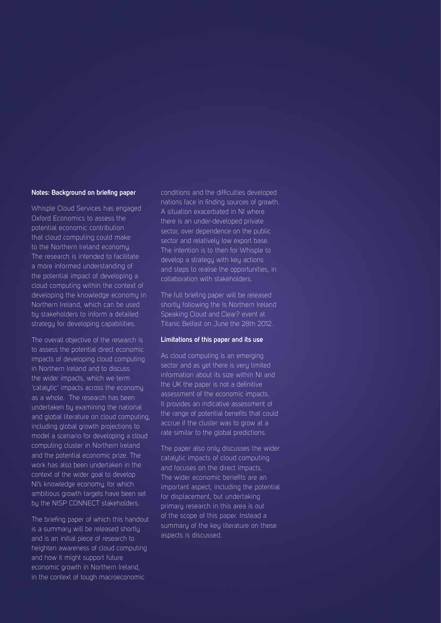#### **Notes: Background on briefing paper**

Whisple Cloud Services has engaged Oxford Economics to assess the potential economic contribution that cloud computing could make to the Northern Ireland economy. The research is intended to facilitate a more informed understanding of the potential impact of developing a cloud computing within the context of developing the knowledge economy in Northern Ireland, which can be used by stakeholders to inform a detailed strategy for developing capabilities.

The overall objective of the research is to assess the potential direct economic impacts of developing cloud computing in Northern Ireland and to discuss the wider impacts, which we term 'catalytic' impacts across the economy as a whole. The research has been undertaken by examining the national and global literature on cloud computing, including global growth projections to model a scenario for developing a cloud computing cluster in Northern Ireland and the potential economic prize. The work has also been undertaken in the context of the wider goal to develop NI's knowledge economy, for which ambitious growth targets have been set by the NISP CONNECT stakeholders.

The briefing paper of which this handout is a summary will be released shortly and is an initial piece of research to heighten awareness of cloud computing and how it might support future economic growth in Northern Ireland, in the context of tough macroeconomic

conditions and the difficulties developed nations face in finding sources of growth. A situation exacerbated in NI where there is an under-developed private sector, over dependence on the public sector and relatively low export base. The intention is to then for Whisple to develop a strategy with key actions and steps to realise the opportunities, in collaboration with stakeholders.

The full briefing paper will be released shortly following the Is Northern Ireland Speaking Cloud and Clear? event at Titanic Belfast on June the 28th 2012.

#### **Limitations of this paper and its use**

As cloud computing is an emerging sector and as yet there is very limited information about its size within NI and the UK the paper is not a definitive assessment of the economic impacts. It provides an indicative assessment of the range of potential benefits that could accrue if the cluster was to grow at a rate similar to the global predictions.

The paper also only discusses the wider catalutic impacts of cloud computing and focuses on the direct impacts. The wider economic benefits are an important aspect, including the potential for displacement, but undertaking primary research in this area is out of the scope of this paper. Instead a summary of the key literature on these aspects is discussed.